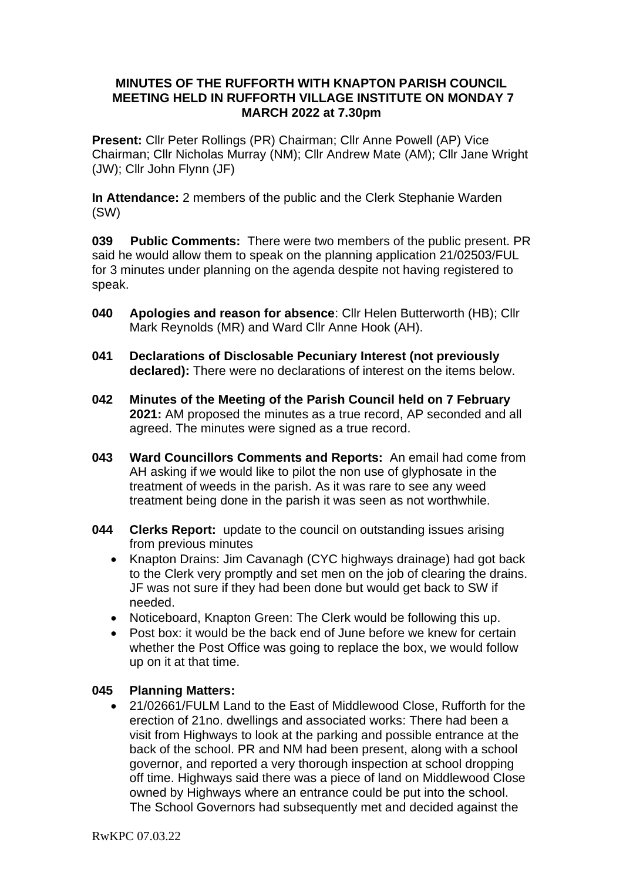### **MINUTES OF THE RUFFORTH WITH KNAPTON PARISH COUNCIL MEETING HELD IN RUFFORTH VILLAGE INSTITUTE ON MONDAY 7 MARCH 2022 at 7.30pm**

**Present:** Cllr Peter Rollings (PR) Chairman; Cllr Anne Powell (AP) Vice Chairman; Cllr Nicholas Murray (NM); Cllr Andrew Mate (AM); Cllr Jane Wright (JW); Cllr John Flynn (JF)

**In Attendance:** 2 members of the public and the Clerk Stephanie Warden (SW)

**039 Public Comments:** There were two members of the public present. PR said he would allow them to speak on the planning application 21/02503/FUL for 3 minutes under planning on the agenda despite not having registered to speak.

- **040 Apologies and reason for absence**: Cllr Helen Butterworth (HB); Cllr Mark Reynolds (MR) and Ward Cllr Anne Hook (AH).
- **041 Declarations of Disclosable Pecuniary Interest (not previously declared):** There were no declarations of interest on the items below.
- **042 Minutes of the Meeting of the Parish Council held on 7 February 2021:** AM proposed the minutes as a true record, AP seconded and all agreed. The minutes were signed as a true record.
- **043 Ward Councillors Comments and Reports:** An email had come from AH asking if we would like to pilot the non use of glyphosate in the treatment of weeds in the parish. As it was rare to see any weed treatment being done in the parish it was seen as not worthwhile.
- **044 Clerks Report:** update to the council on outstanding issues arising from previous minutes
	- Knapton Drains: Jim Cavanagh (CYC highways drainage) had got back to the Clerk very promptly and set men on the job of clearing the drains. JF was not sure if they had been done but would get back to SW if needed.
	- Noticeboard, Knapton Green: The Clerk would be following this up.
	- Post box: it would be the back end of June before we knew for certain whether the Post Office was going to replace the box, we would follow up on it at that time.

### **045 Planning Matters:**

• 21/02661/FULM Land to the East of Middlewood Close, Rufforth for the erection of 21no. dwellings and associated works: There had been a visit from Highways to look at the parking and possible entrance at the back of the school. PR and NM had been present, along with a school governor, and reported a very thorough inspection at school dropping off time. Highways said there was a piece of land on Middlewood Close owned by Highways where an entrance could be put into the school. The School Governors had subsequently met and decided against the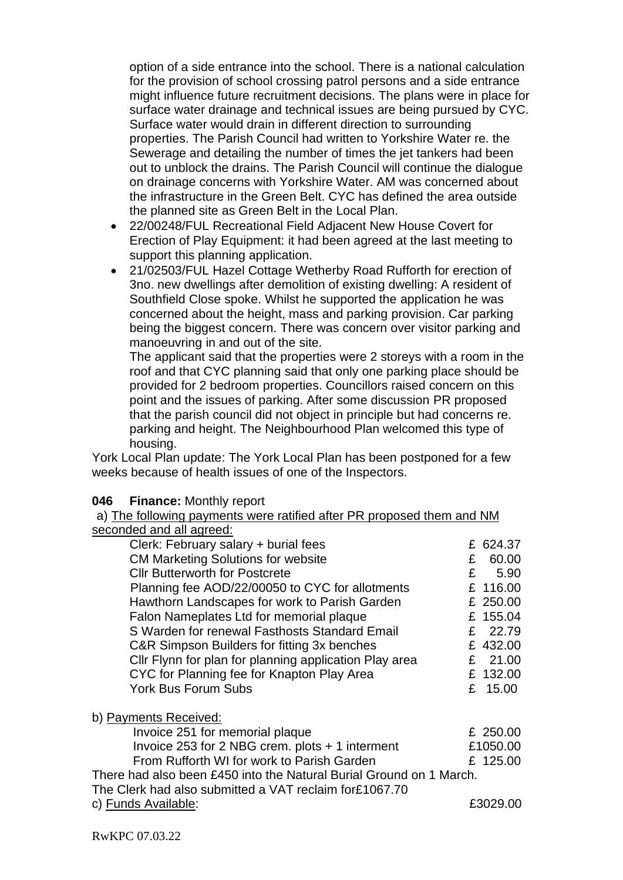option of a side entrance into the school. There is a national calculation for the provision of school crossing patrol persons and a side entrance might influence future recruitment decisions. The plans were in place for surface water drainage and technical issues are being pursued by CYC. Surface water would drain in different direction to surrounding properties. The Parish Council had written to Yorkshire Water re. the Sewerage and detailing the number of times the jet tankers had been out to unblock the drains. The Parish Council will continue the dialogue on drainage concerns with Yorkshire Water. AM was concerned about the infrastructure in the Green Belt. CYC has defined the area outside the planned site as Green Belt in the Local Plan.

- 22/00248/FUL Recreational Field Adjacent New House Covert for Erection of Play Equipment: it had been agreed at the last meeting to support this planning application.
- 21/02503/FUL Hazel Cottage Wetherby Road Rufforth for erection of 3no. new dwellings after demolition of existing dwelling: A resident of Southfield Close spoke. Whilst he supported the application he was concerned about the height, mass and parking provision. Car parking being the biggest concern. There was concern over visitor parking and manoeuvring in and out of the site.

The applicant said that the properties were 2 storeys with a room in the roof and that CYC planning said that only one parking place should be provided for 2 bedroom properties. Councillors raised concern on this point and the issues of parking. After some discussion PR proposed that the parish council did not object in principle but had concerns re. parking and height. The Neighbourhood Plan welcomed this type of housing.

York Local Plan update: The York Local Plan has been postponed for a few weeks because of health issues of one of the Inspectors.

#### **046 Finance:** Monthly report

a) The following payments were ratified after PR proposed them and NM seconded and all agreed:

| Clerk: February salary + burial fees                   | £ 624.37              |
|--------------------------------------------------------|-----------------------|
| <b>CM Marketing Solutions for website</b>              | 60.00<br>£            |
| <b>CIIr Butterworth for Postcrete</b>                  | 5.90<br>£             |
| Planning fee AOD/22/00050 to CYC for allotments        | £ 116.00              |
| Hawthorn Landscapes for work to Parish Garden          | £ 250.00              |
| Falon Nameplates Ltd for memorial plaque               | £ 155.04              |
| S Warden for renewal Fasthosts Standard Email          | 22.79<br>$\mathbf{F}$ |
| C&R Simpson Builders for fitting 3x benches            | £ 432.00              |
| Cllr Flynn for plan for planning application Play area | 21.00<br>£            |
| CYC for Planning fee for Knapton Play Area             | £ 132.00              |
| <b>York Bus Forum Subs</b>                             | 15.00<br>£            |
| b) Payments Received:                                  |                       |
| Invoice 251 for memorial plaque                        | £ 250.00              |
| Invoice 253 for 2 NBG crem. plots + 1 interment        | £1050.00              |
| From Rufforth WI for work to Parish Garden             | £ 125.00              |
|                                                        |                       |

There had also been £450 into the Natural Burial Ground on 1 March.

The Clerk had also submitted a VAT reclaim for£1067.70

c) Funds Available: £3029.00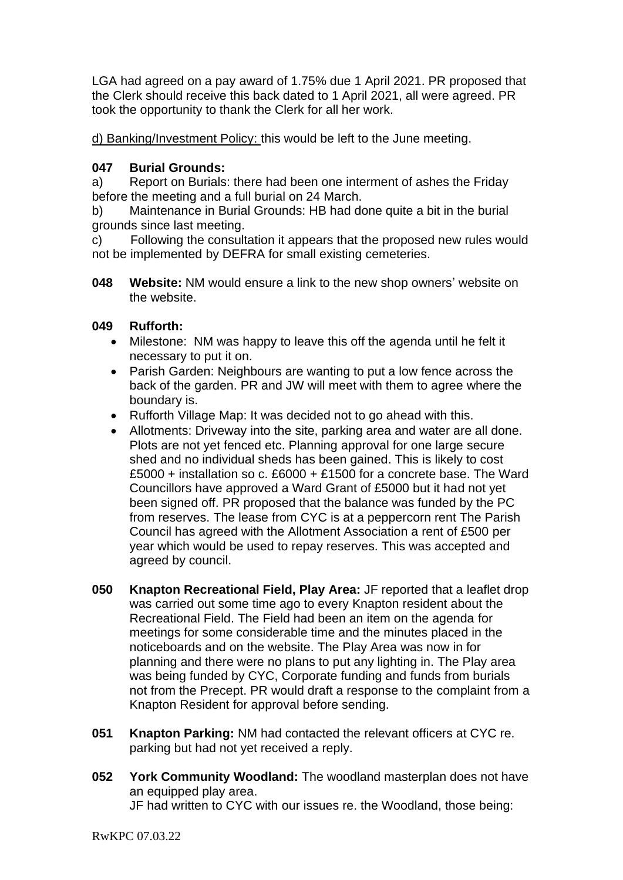LGA had agreed on a pay award of 1.75% due 1 April 2021. PR proposed that the Clerk should receive this back dated to 1 April 2021, all were agreed. PR took the opportunity to thank the Clerk for all her work.

d) Banking/Investment Policy: this would be left to the June meeting.

# **047 Burial Grounds:**

a) Report on Burials: there had been one interment of ashes the Friday before the meeting and a full burial on 24 March.

b) Maintenance in Burial Grounds: HB had done quite a bit in the burial grounds since last meeting.

c) Following the consultation it appears that the proposed new rules would not be implemented by DEFRA for small existing cemeteries.

**048 Website:** NM would ensure a link to the new shop owners' website on the website.

# **049 Rufforth:**

- Milestone: NM was happy to leave this off the agenda until he felt it necessary to put it on.
- Parish Garden: Neighbours are wanting to put a low fence across the back of the garden. PR and JW will meet with them to agree where the boundary is.
- Rufforth Village Map: It was decided not to go ahead with this.
- Allotments: Driveway into the site, parking area and water are all done. Plots are not yet fenced etc. Planning approval for one large secure shed and no individual sheds has been gained. This is likely to cost £5000 + installation so c. £6000 + £1500 for a concrete base. The Ward Councillors have approved a Ward Grant of £5000 but it had not yet been signed off. PR proposed that the balance was funded by the PC from reserves. The lease from CYC is at a peppercorn rent The Parish Council has agreed with the Allotment Association a rent of £500 per year which would be used to repay reserves. This was accepted and agreed by council.
- **050 Knapton Recreational Field, Play Area:** JF reported that a leaflet drop was carried out some time ago to every Knapton resident about the Recreational Field. The Field had been an item on the agenda for meetings for some considerable time and the minutes placed in the noticeboards and on the website. The Play Area was now in for planning and there were no plans to put any lighting in. The Play area was being funded by CYC, Corporate funding and funds from burials not from the Precept. PR would draft a response to the complaint from a Knapton Resident for approval before sending.
- **051 Knapton Parking:** NM had contacted the relevant officers at CYC re. parking but had not yet received a reply.
- **052 York Community Woodland:** The woodland masterplan does not have an equipped play area. JF had written to CYC with our issues re. the Woodland, those being: